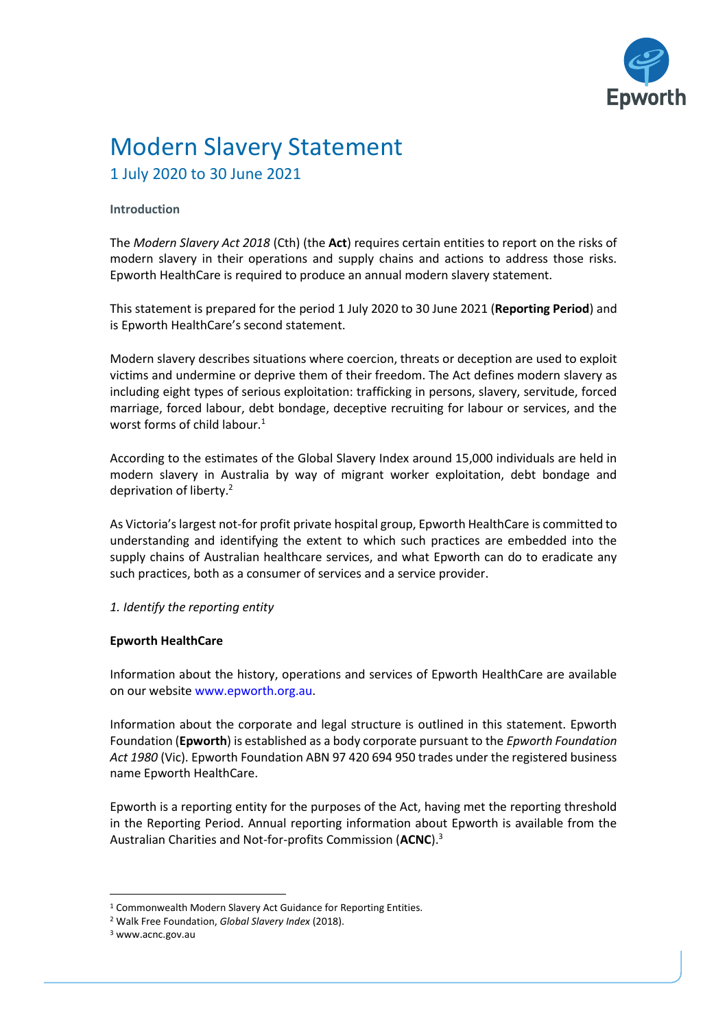

# Modern Slavery Statement 1 July 2020 to 30 June 2021

# **Introduction**

The *Modern Slavery Act 2018* (Cth) (the **Act**) requires certain entities to report on the risks of modern slavery in their operations and supply chains and actions to address those risks. Epworth HealthCare is required to produce an annual modern slavery statement.

This statement is prepared for the period 1 July 2020 to 30 June 2021 (**Reporting Period**) and is Epworth HealthCare's second statement.

Modern slavery describes situations where coercion, threats or deception are used to exploit victims and undermine or deprive them of their freedom. The Act defines modern slavery as including eight types of serious exploitation: trafficking in persons, slavery, servitude, forced marriage, forced labour, debt bondage, deceptive recruiting for labour or services, and the worst forms of child labour.<sup>1</sup>

According to the estimates of the Global Slavery Index around 15,000 individuals are held in modern slavery in Australia by way of migrant worker exploitation, debt bondage and deprivation of liberty.<sup>2</sup>

As Victoria's largest not-for profit private hospital group, Epworth HealthCare is committed to understanding and identifying the extent to which such practices are embedded into the supply chains of Australian healthcare services, and what Epworth can do to eradicate any such practices, both as a consumer of services and a service provider.

*1. Identify the reporting entity* 

#### **Epworth HealthCare**

Information about the history, operations and services of Epworth HealthCare are available on our website www.epworth.org.au.

Information about the corporate and legal structure is outlined in this statement. Epworth Foundation (**Epworth**) is established as a body corporate pursuant to the *Epworth Foundation Act 1980* (Vic). Epworth Foundation ABN 97 420 694 950 trades under the registered business name Epworth HealthCare.

Epworth is a reporting entity for the purposes of the Act, having met the reporting threshold in the Reporting Period. Annual reporting information about Epworth is available from the Australian Charities and Not-for-profits Commission (**ACNC**).<sup>3</sup>

<sup>1</sup> Commonwealth Modern Slavery Act Guidance for Reporting Entities.

<sup>2</sup> Walk Free Foundation, *Global Slavery Index* (2018).

<sup>3</sup> www.acnc.gov.au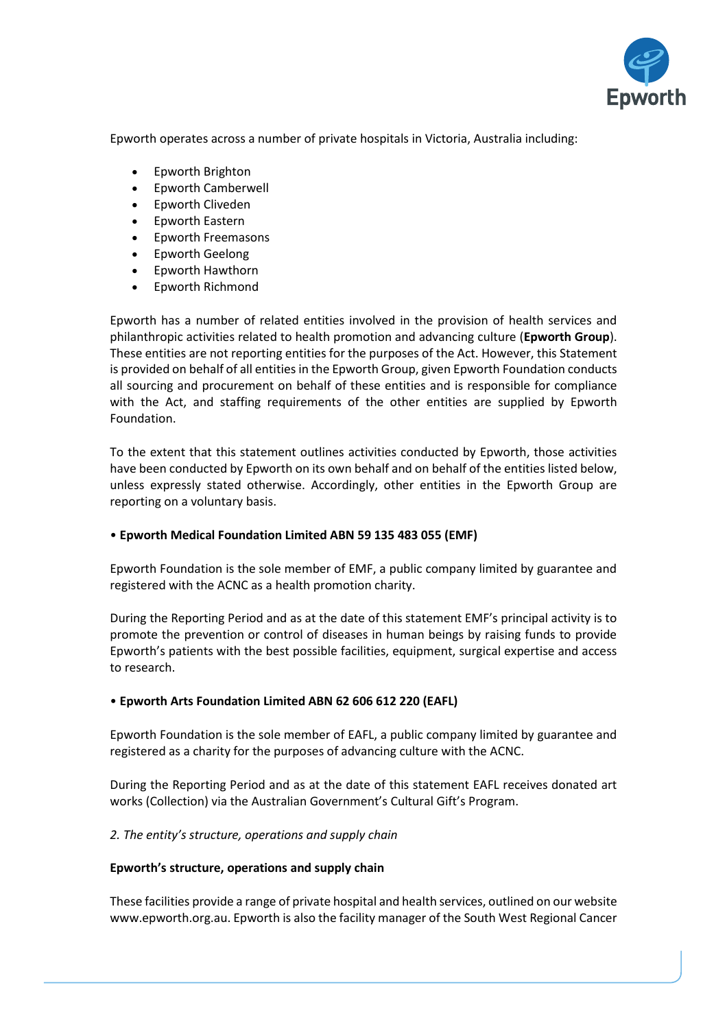

Epworth operates across a number of private hospitals in Victoria, Australia including:

- Epworth Brighton
- Epworth Camberwell
- Epworth Cliveden
- Epworth Eastern
- Epworth Freemasons
- Epworth Geelong
- Epworth Hawthorn
- Epworth Richmond

Epworth has a number of related entities involved in the provision of health services and philanthropic activities related to health promotion and advancing culture (**Epworth Group**). These entities are not reporting entities for the purposes of the Act. However, this Statement is provided on behalf of all entities in the Epworth Group, given Epworth Foundation conducts all sourcing and procurement on behalf of these entities and is responsible for compliance with the Act, and staffing requirements of the other entities are supplied by Epworth Foundation.

To the extent that this statement outlines activities conducted by Epworth, those activities have been conducted by Epworth on its own behalf and on behalf of the entities listed below, unless expressly stated otherwise. Accordingly, other entities in the Epworth Group are reporting on a voluntary basis.

#### • **Epworth Medical Foundation Limited ABN 59 135 483 055 (EMF)**

Epworth Foundation is the sole member of EMF, a public company limited by guarantee and registered with the ACNC as a health promotion charity.

During the Reporting Period and as at the date of this statement EMF's principal activity is to promote the prevention or control of diseases in human beings by raising funds to provide Epworth's patients with the best possible facilities, equipment, surgical expertise and access to research.

#### • **Epworth Arts Foundation Limited ABN 62 606 612 220 (EAFL)**

Epworth Foundation is the sole member of EAFL, a public company limited by guarantee and registered as a charity for the purposes of advancing culture with the ACNC.

During the Reporting Period and as at the date of this statement EAFL receives donated art works (Collection) via the Australian Government's Cultural Gift's Program.

#### *2. The entity's structure, operations and supply chain*

#### **Epworth's structure, operations and supply chain**

These facilities provide a range of private hospital and health services, outlined on our website www.epworth.org.au. Epworth is also the facility manager of the South West Regional Cancer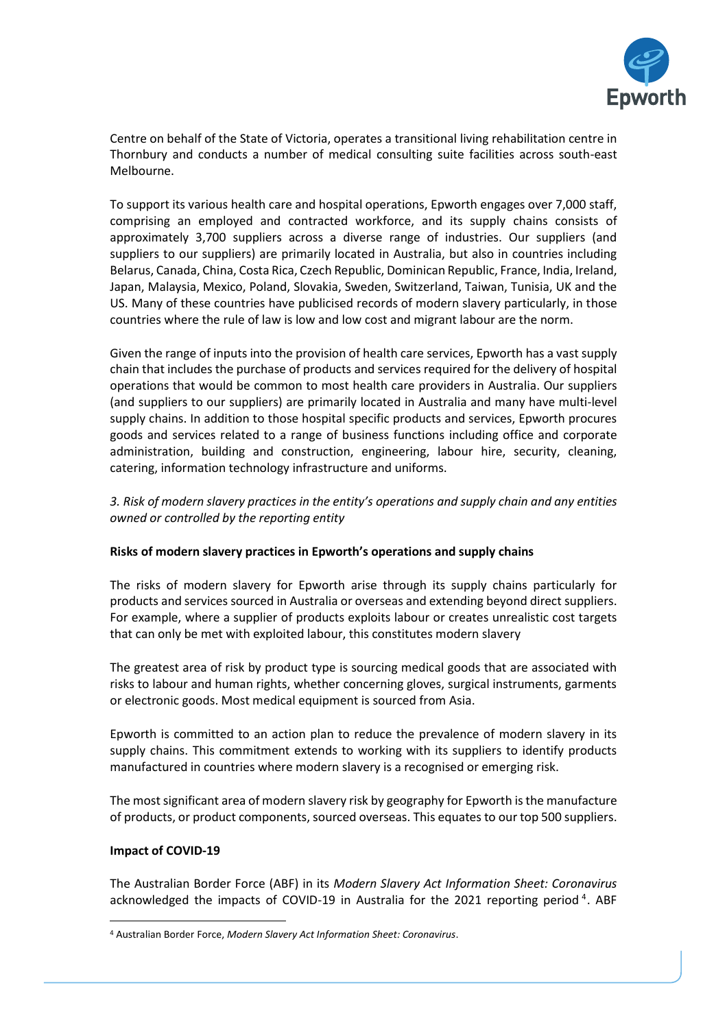

Centre on behalf of the State of Victoria, operates a transitional living rehabilitation centre in Thornbury and conducts a number of medical consulting suite facilities across south-east Melbourne.

To support its various health care and hospital operations, Epworth engages over 7,000 staff, comprising an employed and contracted workforce, and its supply chains consists of approximately 3,700 suppliers across a diverse range of industries. Our suppliers (and suppliers to our suppliers) are primarily located in Australia, but also in countries including Belarus, Canada, China, Costa Rica, Czech Republic, Dominican Republic, France, India, Ireland, Japan, Malaysia, Mexico, Poland, Slovakia, Sweden, Switzerland, Taiwan, Tunisia, UK and the US. Many of these countries have publicised records of modern slavery particularly, in those countries where the rule of law is low and low cost and migrant labour are the norm.

Given the range of inputs into the provision of health care services, Epworth has a vast supply chain that includes the purchase of products and services required for the delivery of hospital operations that would be common to most health care providers in Australia. Our suppliers (and suppliers to our suppliers) are primarily located in Australia and many have multi-level supply chains. In addition to those hospital specific products and services, Epworth procures goods and services related to a range of business functions including office and corporate administration, building and construction, engineering, labour hire, security, cleaning, catering, information technology infrastructure and uniforms.

*3. Risk of modern slavery practices in the entity's operations and supply chain and any entities owned or controlled by the reporting entity* 

#### **Risks of modern slavery practices in Epworth's operations and supply chains**

The risks of modern slavery for Epworth arise through its supply chains particularly for products and services sourced in Australia or overseas and extending beyond direct suppliers. For example, where a supplier of products exploits labour or creates unrealistic cost targets that can only be met with exploited labour, this constitutes modern slavery

The greatest area of risk by product type is sourcing medical goods that are associated with risks to labour and human rights, whether concerning gloves, surgical instruments, garments or electronic goods. Most medical equipment is sourced from Asia.

Epworth is committed to an action plan to reduce the prevalence of modern slavery in its supply chains. This commitment extends to working with its suppliers to identify products manufactured in countries where modern slavery is a recognised or emerging risk.

The most significant area of modern slavery risk by geography for Epworth is the manufacture of products, or product components, sourced overseas. This equates to our top 500 suppliers.

#### **Impact of COVID-19**

The Australian Border Force (ABF) in its *Modern Slavery Act Information Sheet: Coronavirus* acknowledged the impacts of COVID-19 in Australia for the 2021 reporting period<sup>4</sup>. ABF

<sup>4</sup> Australian Border Force, *Modern Slavery Act Information Sheet: Coronavirus*.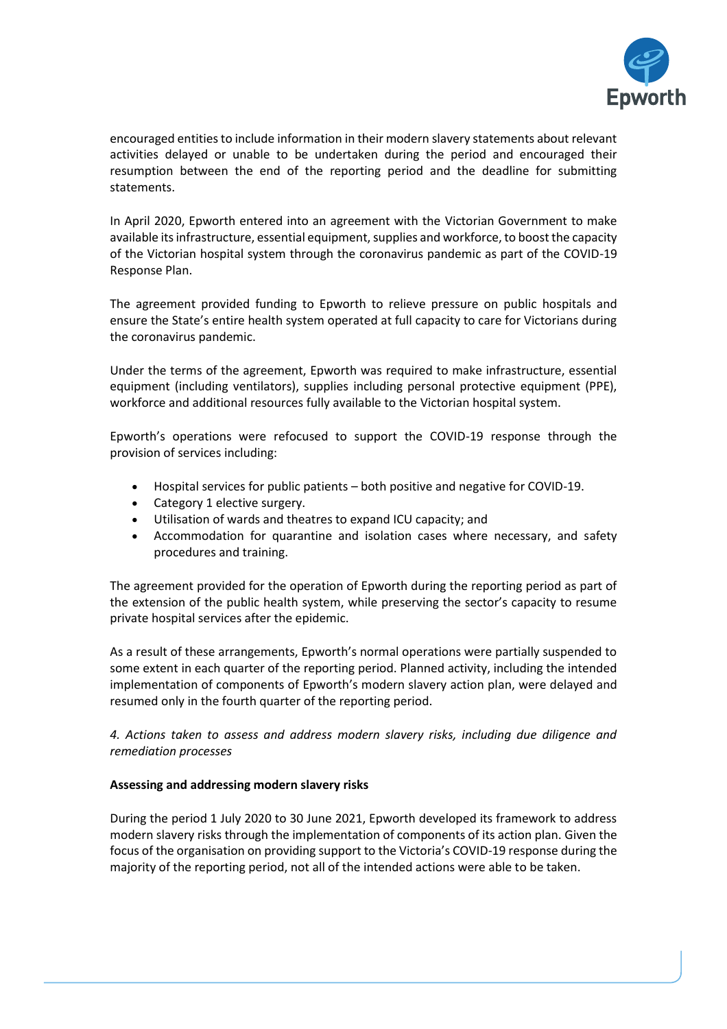

encouraged entities to include information in their modern slavery statements about relevant activities delayed or unable to be undertaken during the period and encouraged their resumption between the end of the reporting period and the deadline for submitting statements.

In April 2020, Epworth entered into an agreement with the Victorian Government to make available its infrastructure, essential equipment, supplies and workforce, to boost the capacity of the Victorian hospital system through the coronavirus pandemic as part of the COVID-19 Response Plan.

The agreement provided funding to Epworth to relieve pressure on public hospitals and ensure the State's entire health system operated at full capacity to care for Victorians during the coronavirus pandemic.

Under the terms of the agreement, Epworth was required to make infrastructure, essential equipment (including ventilators), supplies including personal protective equipment (PPE), workforce and additional resources fully available to the Victorian hospital system.

Epworth's operations were refocused to support the COVID-19 response through the provision of services including:

- Hospital services for public patients both positive and negative for COVID-19.
- Category 1 elective surgery.
- Utilisation of wards and theatres to expand ICU capacity; and
- Accommodation for quarantine and isolation cases where necessary, and safety procedures and training.

The agreement provided for the operation of Epworth during the reporting period as part of the extension of the public health system, while preserving the sector's capacity to resume private hospital services after the epidemic.

As a result of these arrangements, Epworth's normal operations were partially suspended to some extent in each quarter of the reporting period. Planned activity, including the intended implementation of components of Epworth's modern slavery action plan, were delayed and resumed only in the fourth quarter of the reporting period.

*4. Actions taken to assess and address modern slavery risks, including due diligence and remediation processes* 

#### **Assessing and addressing modern slavery risks**

During the period 1 July 2020 to 30 June 2021, Epworth developed its framework to address modern slavery risks through the implementation of components of its action plan. Given the focus of the organisation on providing support to the Victoria's COVID-19 response during the majority of the reporting period, not all of the intended actions were able to be taken.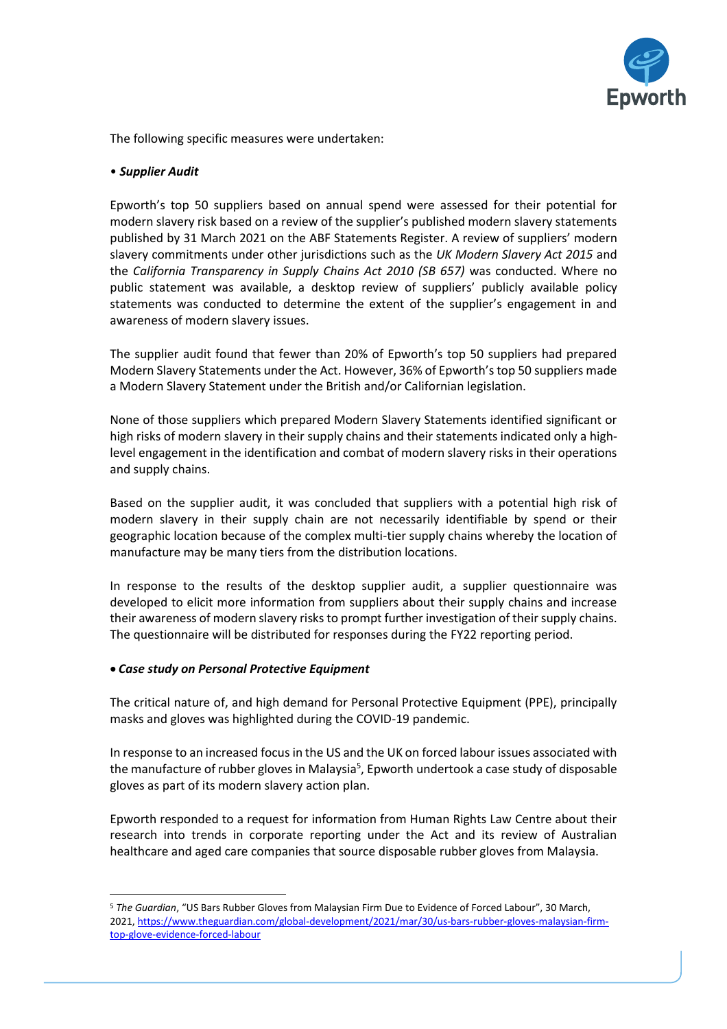

The following specific measures were undertaken:

## • *Supplier Audit*

Epworth's top 50 suppliers based on annual spend were assessed for their potential for modern slavery risk based on a review of the supplier's published modern slavery statements published by 31 March 2021 on the ABF Statements Register. A review of suppliers' modern slavery commitments under other jurisdictions such as the *UK Modern Slavery Act 2015* and the *California Transparency in Supply Chains Act 2010 (SB 657)* was conducted. Where no public statement was available, a desktop review of suppliers' publicly available policy statements was conducted to determine the extent of the supplier's engagement in and awareness of modern slavery issues.

The supplier audit found that fewer than 20% of Epworth's top 50 suppliers had prepared Modern Slavery Statements under the Act. However, 36% of Epworth's top 50 suppliers made a Modern Slavery Statement under the British and/or Californian legislation.

None of those suppliers which prepared Modern Slavery Statements identified significant or high risks of modern slavery in their supply chains and their statements indicated only a highlevel engagement in the identification and combat of modern slavery risks in their operations and supply chains.

Based on the supplier audit, it was concluded that suppliers with a potential high risk of modern slavery in their supply chain are not necessarily identifiable by spend or their geographic location because of the complex multi-tier supply chains whereby the location of manufacture may be many tiers from the distribution locations.

In response to the results of the desktop supplier audit, a supplier questionnaire was developed to elicit more information from suppliers about their supply chains and increase their awareness of modern slavery risks to prompt further investigation of their supply chains. The questionnaire will be distributed for responses during the FY22 reporting period.

#### • *Case study on Personal Protective Equipment*

The critical nature of, and high demand for Personal Protective Equipment (PPE), principally masks and gloves was highlighted during the COVID-19 pandemic.

In response to an increased focus in the US and the UK on forced labour issues associated with the manufacture of rubber gloves in Malaysia<sup>5</sup>, Epworth undertook a case study of disposable gloves as part of its modern slavery action plan.

Epworth responded to a request for information from Human Rights Law Centre about their research into trends in corporate reporting under the Act and its review of Australian healthcare and aged care companies that source disposable rubber gloves from Malaysia.

<sup>5</sup> *The Guardian*, "US Bars Rubber Gloves from Malaysian Firm Due to Evidence of Forced Labour", 30 March, 2021[, https://www.theguardian.com/global-development/2021/mar/30/us-bars-rubber-gloves-malaysian-firm](https://www.theguardian.com/global-development/2021/mar/30/us-bars-rubber-gloves-malaysian-firm-top-glove-evidence-forced-labour)[top-glove-evidence-forced-labour](https://www.theguardian.com/global-development/2021/mar/30/us-bars-rubber-gloves-malaysian-firm-top-glove-evidence-forced-labour)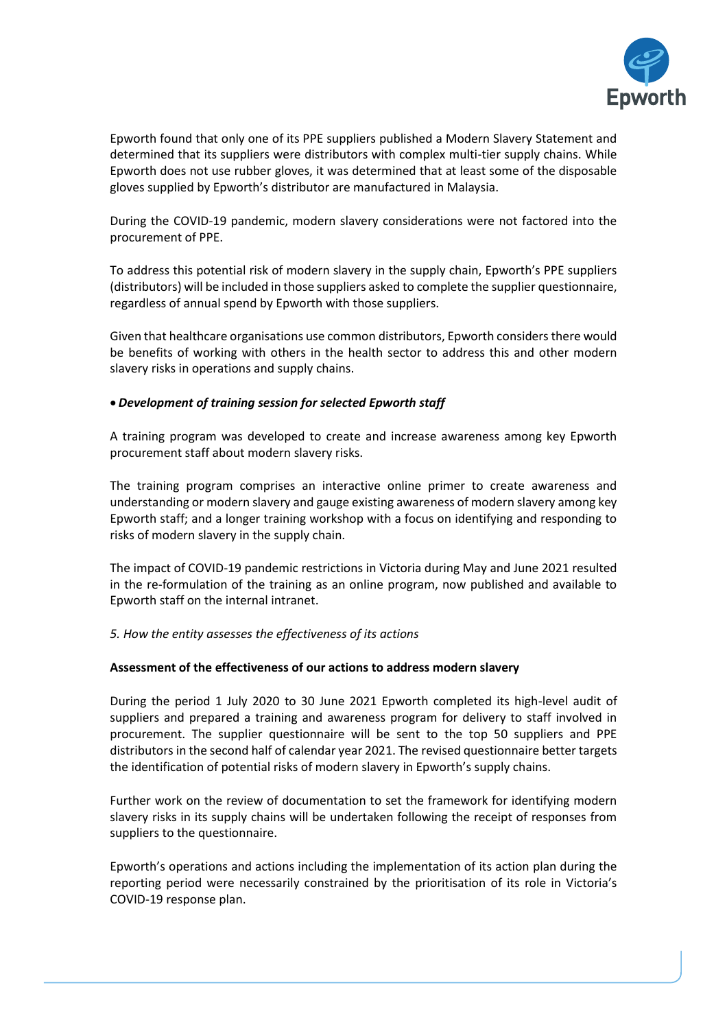

Epworth found that only one of its PPE suppliers published a Modern Slavery Statement and determined that its suppliers were distributors with complex multi-tier supply chains. While Epworth does not use rubber gloves, it was determined that at least some of the disposable gloves supplied by Epworth's distributor are manufactured in Malaysia.

During the COVID-19 pandemic, modern slavery considerations were not factored into the procurement of PPE.

To address this potential risk of modern slavery in the supply chain, Epworth's PPE suppliers (distributors) will be included in those suppliers asked to complete the supplier questionnaire, regardless of annual spend by Epworth with those suppliers.

Given that healthcare organisations use common distributors, Epworth considers there would be benefits of working with others in the health sector to address this and other modern slavery risks in operations and supply chains.

# • *Development of training session for selected Epworth staff*

A training program was developed to create and increase awareness among key Epworth procurement staff about modern slavery risks.

The training program comprises an interactive online primer to create awareness and understanding or modern slavery and gauge existing awareness of modern slavery among key Epworth staff; and a longer training workshop with a focus on identifying and responding to risks of modern slavery in the supply chain.

The impact of COVID-19 pandemic restrictions in Victoria during May and June 2021 resulted in the re-formulation of the training as an online program, now published and available to Epworth staff on the internal intranet.

#### *5. How the entity assesses the effectiveness of its actions*

#### **Assessment of the effectiveness of our actions to address modern slavery**

During the period 1 July 2020 to 30 June 2021 Epworth completed its high-level audit of suppliers and prepared a training and awareness program for delivery to staff involved in procurement. The supplier questionnaire will be sent to the top 50 suppliers and PPE distributors in the second half of calendar year 2021. The revised questionnaire better targets the identification of potential risks of modern slavery in Epworth's supply chains.

Further work on the review of documentation to set the framework for identifying modern slavery risks in its supply chains will be undertaken following the receipt of responses from suppliers to the questionnaire.

Epworth's operations and actions including the implementation of its action plan during the reporting period were necessarily constrained by the prioritisation of its role in Victoria's COVID-19 response plan.